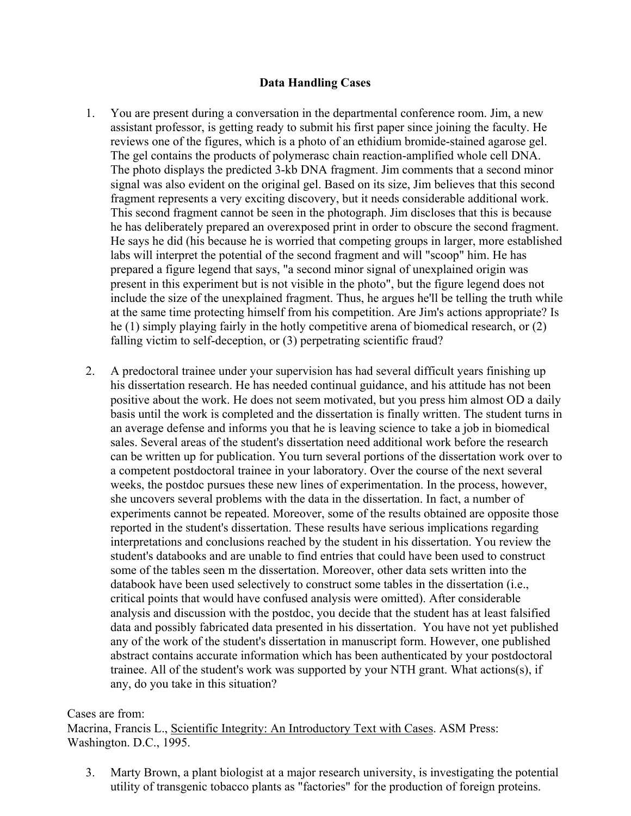## **Data Handling Cases**

- 1. You are present during a conversation in the departmental conference room. Jim, a new assistant professor, is getting ready to submit his first paper since joining the faculty. He reviews one of the figures, which is a photo of an ethidium bromide-stained agarose gel. The gel contains the products of polymerasc chain reaction-amplified whole cell DNA. The photo displays the predicted 3-kb DNA fragment. Jim comments that a second minor signal was also evident on the original gel. Based on its size, Jim believes that this second fragment represents a very exciting discovery, but it needs considerable additional work. This second fragment cannot be seen in the photograph. Jim discloses that this is because he has deliberately prepared an overexposed print in order to obscure the second fragment. He says he did (his because he is worried that competing groups in larger, more established labs will interpret the potential of the second fragment and will "scoop" him. He has prepared a figure legend that says, "a second minor signal of unexplained origin was present in this experiment but is not visible in the photo", but the figure legend does not include the size of the unexplained fragment. Thus, he argues he'll be telling the truth while at the same time protecting himself from his competition. Are Jim's actions appropriate? Is he (1) simply playing fairly in the hotly competitive arena of biomedical research, or (2) falling victim to self-deception, or (3) perpetrating scientific fraud?
- 2. A predoctoral trainee under your supervision has had several difficult years finishing up his dissertation research. He has needed continual guidance, and his attitude has not been positive about the work. He does not seem motivated, but you press him almost OD a daily basis until the work is completed and the dissertation is finally written. The student turns in an average defense and informs you that he is leaving science to take a job in biomedical sales. Several areas of the student's dissertation need additional work before the research can be written up for publication. You turn several portions of the dissertation work over to a competent postdoctoral trainee in your laboratory. Over the course of the next several weeks, the postdoc pursues these new lines of experimentation. In the process, however, she uncovers several problems with the data in the dissertation. In fact, a number of experiments cannot be repeated. Moreover, some of the results obtained are opposite those reported in the student's dissertation. These results have serious implications regarding interpretations and conclusions reached by the student in his dissertation. You review the student's databooks and are unable to find entries that could have been used to construct some of the tables seen m the dissertation. Moreover, other data sets written into the databook have been used selectively to construct some tables in the dissertation (i.e., critical points that would have confused analysis were omitted). After considerable analysis and discussion with the postdoc, you decide that the student has at least falsified data and possibly fabricated data presented in his dissertation. You have not yet published any of the work of the student's dissertation in manuscript form. However, one published abstract contains accurate information which has been authenticated by your postdoctoral trainee. All of the student's work was supported by your NTH grant. What actions(s), if any, do you take in this situation?

## Cases are from:

Macrina, Francis L., Scientific Integrity: An Introductory Text with Cases. ASM Press: Washington. D.C., 1995.

3. Marty Brown, a plant biologist at a major research university, is investigating the potential utility of transgenic tobacco plants as "factories" for the production of foreign proteins.